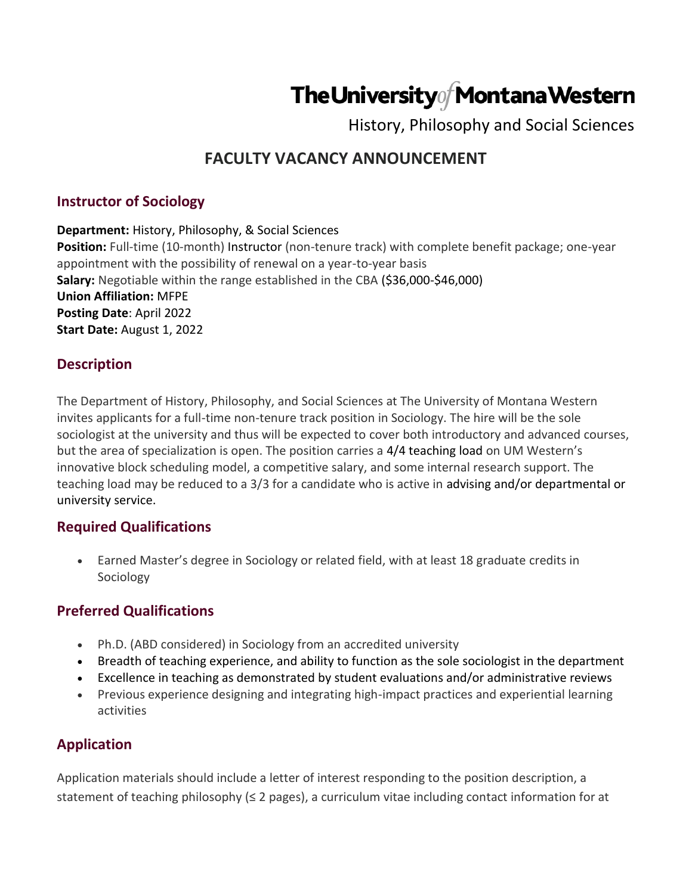# The University Montana Western

History, Philosophy and Social Sciences

## **FACULTY VACANCY ANNOUNCEMENT**

#### **Instructor of Sociology**

**Department:** History, Philosophy, & Social Sciences

**Position:** Full-time (10-month) Instructor (non-tenure track) with complete benefit package; one-year appointment with the possibility of renewal on a year-to-year basis **Salary:** Negotiable within the range established in the CBA (\$36,000-\$46,000) **Union Affiliation:** MFPE **Posting Date**: April 2022 **Start Date:** August 1, 2022

#### **Description**

The Department of History, Philosophy, and Social Sciences at The University of Montana Western invites applicants for a full-time non-tenure track position in Sociology. The hire will be the sole sociologist at the university and thus will be expected to cover both introductory and advanced courses, but the area of specialization is open. The position carries a 4/4 teaching load on UM Western's innovative block scheduling model, a competitive salary, and some internal research support. The teaching load may be reduced to a 3/3 for a candidate who is active in advising and/or departmental or university service.

#### **Required Qualifications**

• Earned Master's degree in Sociology or related field, with at least 18 graduate credits in Sociology

#### **Preferred Qualifications**

- Ph.D. (ABD considered) in Sociology from an accredited university
- Breadth of teaching experience, and ability to function as the sole sociologist in the department
- Excellence in teaching as demonstrated by student evaluations and/or administrative reviews
- Previous experience designing and integrating high-impact practices and experiential learning activities

### **Application**

Application materials should include a letter of interest responding to the position description, a statement of teaching philosophy (≤ 2 pages), a curriculum vitae including contact information for at